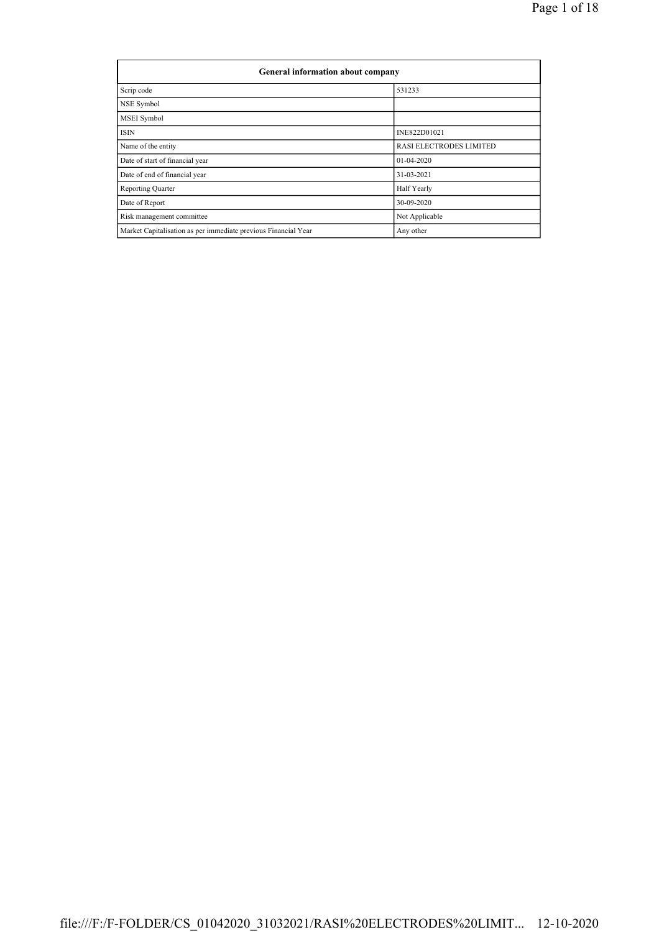| <b>General information about company</b>                       |                                |  |  |  |  |  |  |
|----------------------------------------------------------------|--------------------------------|--|--|--|--|--|--|
| Scrip code                                                     | 531233                         |  |  |  |  |  |  |
| NSE Symbol                                                     |                                |  |  |  |  |  |  |
| MSEI Symbol                                                    |                                |  |  |  |  |  |  |
| <b>ISIN</b>                                                    | INE822D01021                   |  |  |  |  |  |  |
| Name of the entity                                             | <b>RASI ELECTRODES LIMITED</b> |  |  |  |  |  |  |
| Date of start of financial year                                | $01-04-2020$                   |  |  |  |  |  |  |
| Date of end of financial year                                  | 31-03-2021                     |  |  |  |  |  |  |
| <b>Reporting Quarter</b>                                       | Half Yearly                    |  |  |  |  |  |  |
| Date of Report                                                 | 30-09-2020                     |  |  |  |  |  |  |
| Risk management committee                                      | Not Applicable                 |  |  |  |  |  |  |
| Market Capitalisation as per immediate previous Financial Year | Any other                      |  |  |  |  |  |  |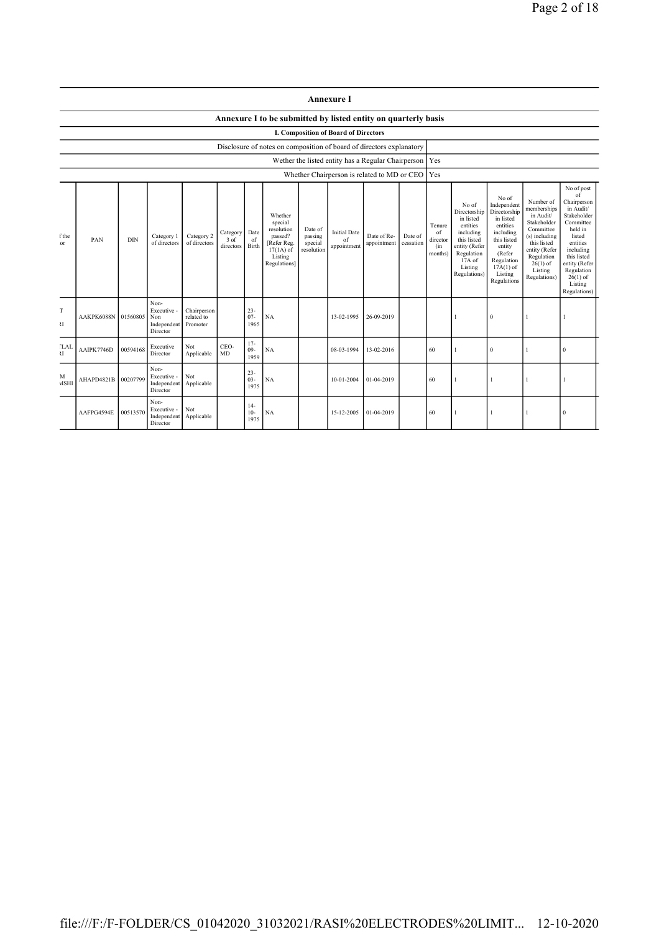|                                                                                                                                                                                                                                                                                                                                                                                                                                      |                                                                                                                                  |          |                                                       |                                       |            |                          |                                                                | <b>Annexure I</b>                                                                                                                              |                                                                                                                                                                      |                                                                                                                                                                           |                                                                                                                                                                                                               |  |              |  |          |  |
|--------------------------------------------------------------------------------------------------------------------------------------------------------------------------------------------------------------------------------------------------------------------------------------------------------------------------------------------------------------------------------------------------------------------------------------|----------------------------------------------------------------------------------------------------------------------------------|----------|-------------------------------------------------------|---------------------------------------|------------|--------------------------|----------------------------------------------------------------|------------------------------------------------------------------------------------------------------------------------------------------------|----------------------------------------------------------------------------------------------------------------------------------------------------------------------|---------------------------------------------------------------------------------------------------------------------------------------------------------------------------|---------------------------------------------------------------------------------------------------------------------------------------------------------------------------------------------------------------|--|--------------|--|----------|--|
|                                                                                                                                                                                                                                                                                                                                                                                                                                      |                                                                                                                                  |          |                                                       |                                       |            |                          | Annexure I to be submitted by listed entity on quarterly basis |                                                                                                                                                |                                                                                                                                                                      |                                                                                                                                                                           |                                                                                                                                                                                                               |  |              |  |          |  |
|                                                                                                                                                                                                                                                                                                                                                                                                                                      | <b>I. Composition of Board of Directors</b>                                                                                      |          |                                                       |                                       |            |                          |                                                                |                                                                                                                                                |                                                                                                                                                                      |                                                                                                                                                                           |                                                                                                                                                                                                               |  |              |  |          |  |
|                                                                                                                                                                                                                                                                                                                                                                                                                                      | Disclosure of notes on composition of board of directors explanatory<br>Wether the listed entity has a Regular Chairperson   Yes |          |                                                       |                                       |            |                          |                                                                |                                                                                                                                                |                                                                                                                                                                      |                                                                                                                                                                           |                                                                                                                                                                                                               |  |              |  |          |  |
|                                                                                                                                                                                                                                                                                                                                                                                                                                      |                                                                                                                                  |          |                                                       |                                       |            |                          |                                                                |                                                                                                                                                |                                                                                                                                                                      |                                                                                                                                                                           | Yes                                                                                                                                                                                                           |  |              |  |          |  |
| Whether Chairperson is related to MD or CEO<br>Whether<br>special<br>resolution<br>Date of<br><b>Initial Date</b><br>Date<br>Category<br>Date of Re-<br>Category 2<br>passing<br>f the<br>Category 1<br>passed?<br>PAN<br><b>DIN</b><br>3 of<br>of<br>of<br>of directors<br>of directors<br>[Refer Reg.<br>special<br>appointment<br>or<br>Birth<br>appointment<br>directors<br>resolution<br>$17(1A)$ of<br>Listing<br>Regulations] |                                                                                                                                  |          |                                                       |                                       |            | Date of<br>cessation     | Tenure<br>of<br>director<br>(in<br>months)                     | No of<br>Directorship<br>in listed<br>entities<br>including<br>this listed<br>entity (Refer<br>Regulation<br>17A of<br>Listing<br>Regulations) | No of<br>Independent<br>Directorship<br>in listed<br>entities<br>including<br>this listed<br>entity<br>(Refer<br>Regulation<br>$17A(1)$ of<br>Listing<br>Regulations | Number of<br>memberships<br>in Audit/<br>Stakeholder<br>Committee<br>(s) including<br>this listed<br>entity (Refer<br>Regulation<br>$26(1)$ of<br>Listing<br>Regulations) | No of post<br>of<br>Chairperson<br>in Audit/<br>Stakeholder<br>Committee<br>held in<br>listed<br>entities<br>including<br>this listed<br>entity (Refer<br>Regulation<br>$26(1)$ of<br>Listing<br>Regulations) |  |              |  |          |  |
| T<br>U                                                                                                                                                                                                                                                                                                                                                                                                                               | AAKPK6088N                                                                                                                       | 01560805 | Non-<br>Executive -<br>Non<br>Independent<br>Director | Chairperson<br>related to<br>Promoter |            | $23 -$<br>$07 -$<br>1965 | NA                                                             | 13-02-1995                                                                                                                                     | 26-09-2019                                                                                                                                                           |                                                                                                                                                                           |                                                                                                                                                                                                               |  | $\theta$     |  |          |  |
| <b>LAI</b><br>$\overline{\mathcal{M}}$                                                                                                                                                                                                                                                                                                                                                                                               | AAIPK7746D                                                                                                                       | 00594168 | Executive<br>Director                                 | Not<br>Applicable                     | CEO-<br>MD | $17 -$<br>$09 -$<br>1959 | NA                                                             | 08-03-1994                                                                                                                                     | 13-02-2016                                                                                                                                                           |                                                                                                                                                                           | 60                                                                                                                                                                                                            |  | $\mathbf{0}$ |  | $\bf{0}$ |  |
| M<br><b>MSHI</b>                                                                                                                                                                                                                                                                                                                                                                                                                     | AHAPD4821B                                                                                                                       | 00207799 | Non-<br>Executive -<br>Independent<br>Director        | Not<br>Applicable                     |            | $23 -$<br>$03 -$<br>1975 | NA                                                             | 10-01-2004                                                                                                                                     | 01-04-2019                                                                                                                                                           |                                                                                                                                                                           | 60                                                                                                                                                                                                            |  | 1            |  |          |  |
|                                                                                                                                                                                                                                                                                                                                                                                                                                      | AAFPG4594E                                                                                                                       | 00513570 | Non-<br>Executive -<br>Independent<br>Director        | Not<br>Applicable                     |            | $14-$<br>$10-$<br>1975   | NA                                                             | 15-12-2005                                                                                                                                     | 01-04-2019                                                                                                                                                           |                                                                                                                                                                           | 60                                                                                                                                                                                                            |  |              |  | $\bf{0}$ |  |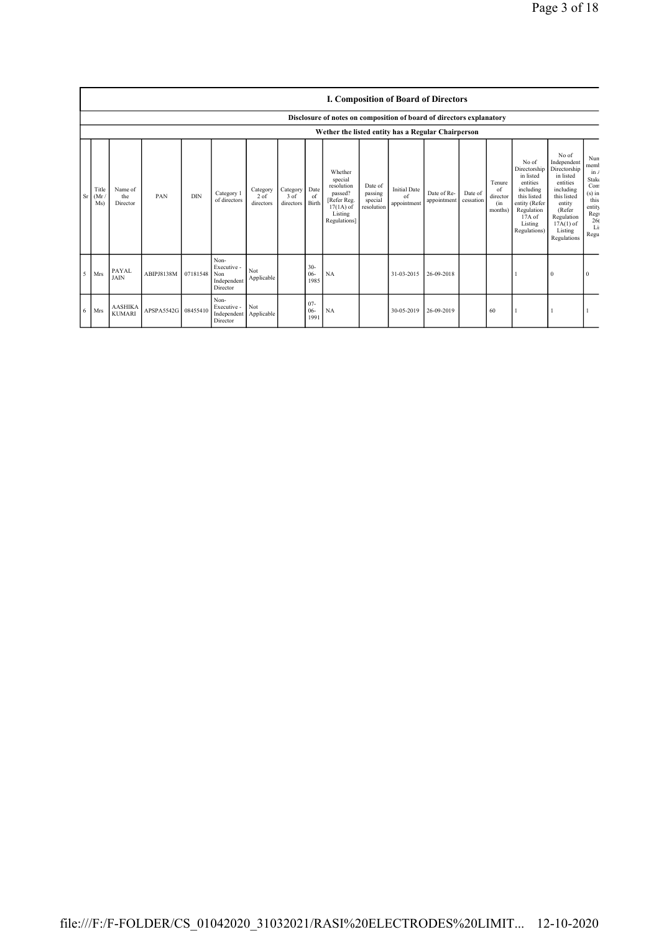|      |                                                    | <b>I. Composition of Board of Directors</b>                          |                     |            |                                                       |                               |                               |                         |                                                                                                      |                                             |                                          |                            |                      |                                            |                                                                                                                                                  |                                                                                                                                                                      |                                                                                              |
|------|----------------------------------------------------|----------------------------------------------------------------------|---------------------|------------|-------------------------------------------------------|-------------------------------|-------------------------------|-------------------------|------------------------------------------------------------------------------------------------------|---------------------------------------------|------------------------------------------|----------------------------|----------------------|--------------------------------------------|--------------------------------------------------------------------------------------------------------------------------------------------------|----------------------------------------------------------------------------------------------------------------------------------------------------------------------|----------------------------------------------------------------------------------------------|
|      |                                                    | Disclosure of notes on composition of board of directors explanatory |                     |            |                                                       |                               |                               |                         |                                                                                                      |                                             |                                          |                            |                      |                                            |                                                                                                                                                  |                                                                                                                                                                      |                                                                                              |
|      | Wether the listed entity has a Regular Chairperson |                                                                      |                     |            |                                                       |                               |                               |                         |                                                                                                      |                                             |                                          |                            |                      |                                            |                                                                                                                                                  |                                                                                                                                                                      |                                                                                              |
| Sr I | Title<br>(Mr)<br>Ms)                               | Name of<br>the<br>Director                                           | PAN                 | <b>DIN</b> | Category 1<br>of directors                            | Category<br>2 of<br>directors | Category<br>3 of<br>directors | Date<br>-of<br>Birth    | Whether<br>special<br>resolution<br>passed?<br>[Refer Reg.<br>$17(1A)$ of<br>Listing<br>Regulations] | Date of<br>passing<br>special<br>resolution | <b>Initial Date</b><br>of<br>appointment | Date of Re-<br>appointment | Date of<br>cessation | Tenure<br>of<br>director<br>(in<br>months) | No of<br>Directorship<br>in listed<br>entities<br>including<br>this listed<br>entity (Refer<br>Regulation<br>$17A$ of<br>Listing<br>Regulations) | No of<br>Independent<br>Directorship<br>in listed<br>entities<br>including<br>this listed<br>entity<br>(Refer<br>Regulation<br>$17A(1)$ of<br>Listing<br>Regulations | Nun<br>memb<br>in/<br>Stake<br>Com<br>$(s)$ in<br>this<br>entity<br>Reg<br>26(<br>Li<br>Regu |
| -5   | <b>Mrs</b>                                         | PAYAL<br><b>JAIN</b>                                                 | ABIPJ8138M          | 07181548   | Non-<br>Executive -<br>Non<br>Independent<br>Director | Not<br>Applicable             |                               | $30-$<br>$06-$<br>1985  | NA                                                                                                   |                                             | 31-03-2015                               | 26-09-2018                 |                      |                                            |                                                                                                                                                  | $\mathbf{0}$                                                                                                                                                         | 0                                                                                            |
| 6    | Mrs                                                | <b>AASHIKA</b><br><b>KUMARI</b>                                      | APSPA5542G 08455410 |            | Non-<br>Executive -<br>Independent<br>Director        | Not<br>Applicable             |                               | $07 -$<br>$06-$<br>1991 | NA                                                                                                   |                                             | 30-05-2019                               | 26-09-2019                 |                      | 60                                         |                                                                                                                                                  |                                                                                                                                                                      |                                                                                              |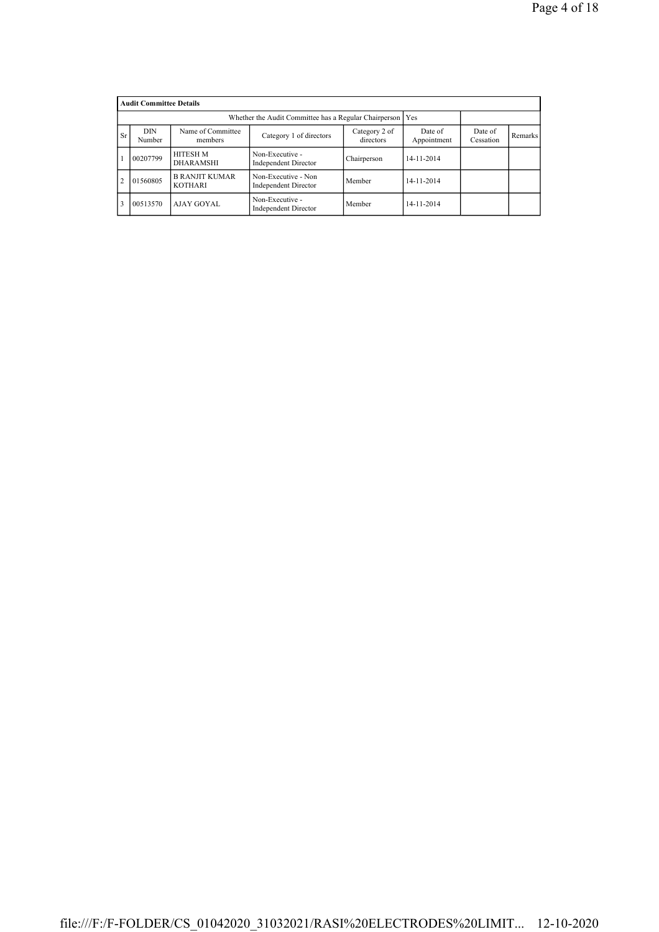|                | <b>Audit Committee Details</b> |                                         |                                                    |                      |            |  |  |  |  |
|----------------|--------------------------------|-----------------------------------------|----------------------------------------------------|----------------------|------------|--|--|--|--|
|                |                                |                                         |                                                    |                      |            |  |  |  |  |
| <b>Sr</b>      | DIN<br>Number                  | Name of Committee<br>members            | Date of<br>Appointment                             | Date of<br>Cessation | Remarks    |  |  |  |  |
|                | 00207799                       | <b>HITESH M</b><br><b>DHARAMSHI</b>     | Non-Executive -<br><b>Independent Director</b>     | Chairperson          | 14-11-2014 |  |  |  |  |
| $\overline{2}$ | 01560805                       | <b>B RANJIT KUMAR</b><br><b>KOTHARI</b> | Non-Executive - Non<br><b>Independent Director</b> | Member               | 14-11-2014 |  |  |  |  |
|                | 00513570                       | AJAY GOYAL                              | Non-Executive -<br><b>Independent Director</b>     | Member               | 14-11-2014 |  |  |  |  |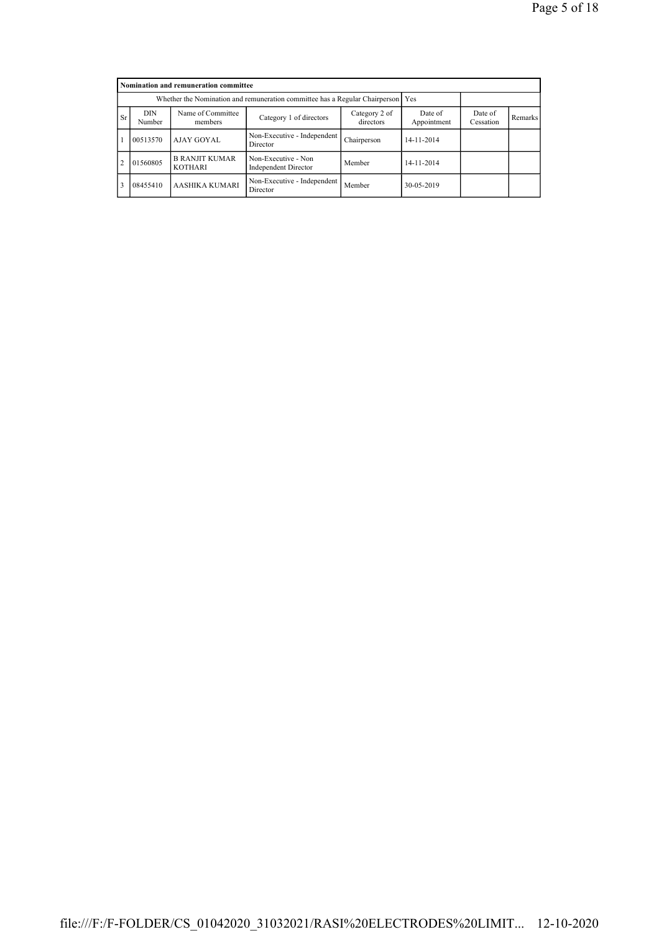|                | Nomination and remuneration committee                                           |                                         |                                                    |                      |            |  |  |  |  |
|----------------|---------------------------------------------------------------------------------|-----------------------------------------|----------------------------------------------------|----------------------|------------|--|--|--|--|
|                | Whether the Nomination and remuneration committee has a Regular Chairperson Yes |                                         |                                                    |                      |            |  |  |  |  |
| <b>Sr</b>      | DIN<br>Number                                                                   | Name of Committee<br>members            | Date of<br>Appointment                             | Date of<br>Cessation | Remarks    |  |  |  |  |
|                | 00513570                                                                        | AJAY GOYAL                              | Non-Executive - Independent<br>Director            | Chairperson          | 14-11-2014 |  |  |  |  |
| $\overline{2}$ | 01560805                                                                        | <b>B RANJIT KUMAR</b><br><b>KOTHARI</b> | Non-Executive - Non<br><b>Independent Director</b> | Member               | 14-11-2014 |  |  |  |  |
| 3              | 08455410                                                                        | AASHIKA KUMARI                          | Non-Executive - Independent<br>Director            | Member               | 30-05-2019 |  |  |  |  |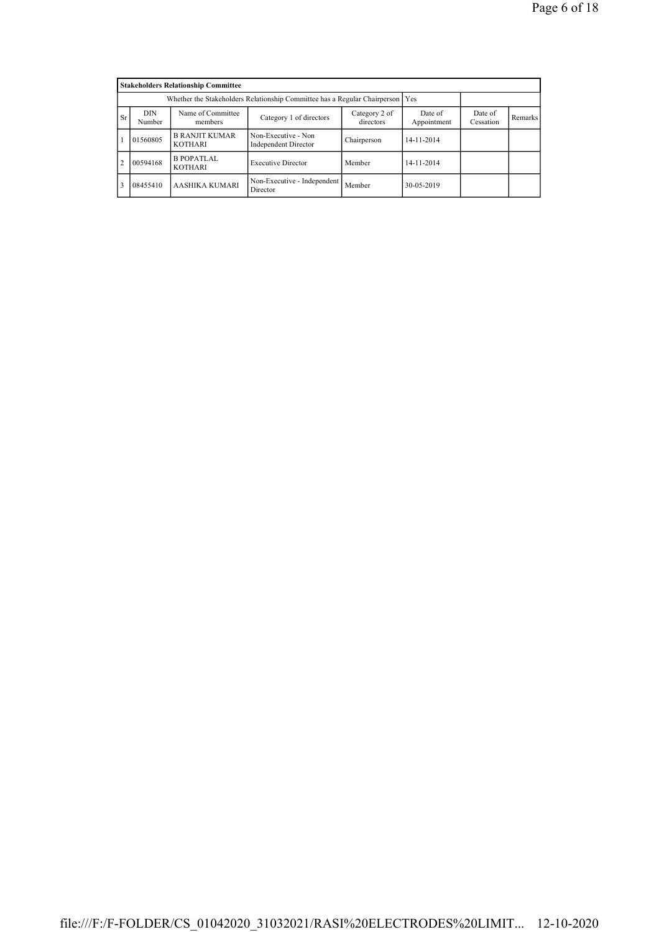|                | <b>Stakeholders Relationship Committee</b>                                      |                                         |                                             |             |            |  |  |  |  |
|----------------|---------------------------------------------------------------------------------|-----------------------------------------|---------------------------------------------|-------------|------------|--|--|--|--|
|                | Whether the Stakeholders Relationship Committee has a Regular Chairperson   Yes |                                         |                                             |             |            |  |  |  |  |
| <b>Sr</b>      | DIN<br>Number                                                                   | Date of<br>Cessation                    | Remarks                                     |             |            |  |  |  |  |
|                | 01560805                                                                        | <b>B RANJIT KUMAR</b><br><b>KOTHARI</b> | Non-Executive - Non<br>Independent Director | Chairperson | 14-11-2014 |  |  |  |  |
| $\overline{2}$ | 00594168                                                                        | <b>B POPATLAL</b><br><b>KOTHARI</b>     | <b>Executive Director</b>                   | Member      | 14-11-2014 |  |  |  |  |
| 3              | 08455410                                                                        | AASHIKA KUMARI                          | Non-Executive - Independent<br>Director     | Member      | 30-05-2019 |  |  |  |  |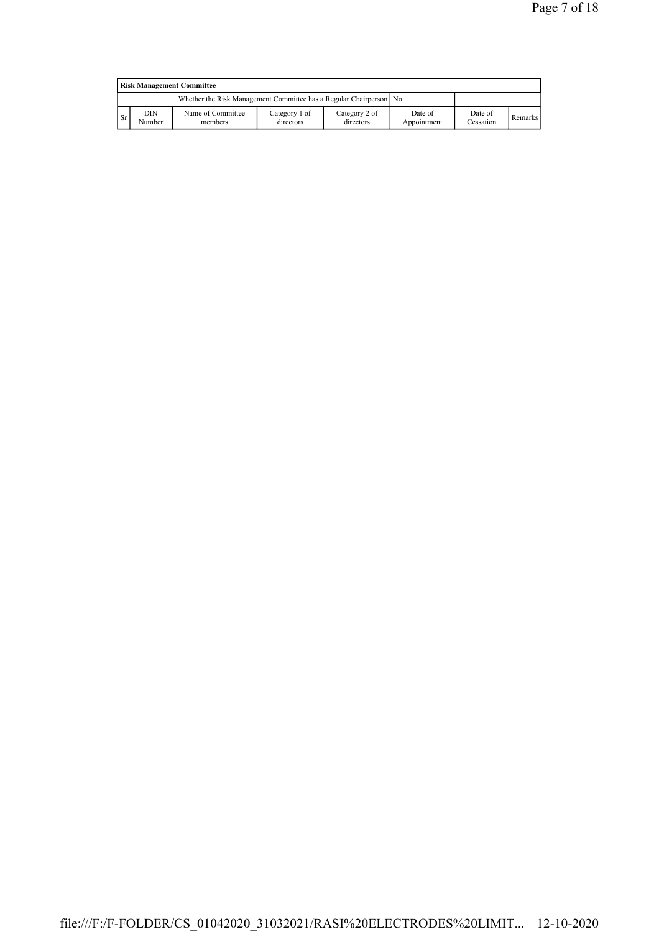|               | <b>Risk Management Committee</b> |                                                                    |                            |                            |                        |                      |         |  |  |
|---------------|----------------------------------|--------------------------------------------------------------------|----------------------------|----------------------------|------------------------|----------------------|---------|--|--|
|               |                                  | Whether the Risk Management Committee has a Regular Chairperson No |                            |                            |                        |                      |         |  |  |
| <sup>Sr</sup> | DIN<br>Number                    | Name of Committee<br>members                                       | Category 1 of<br>directors | Category 2 of<br>directors | Date of<br>Appointment | Date of<br>Cessation | Remarks |  |  |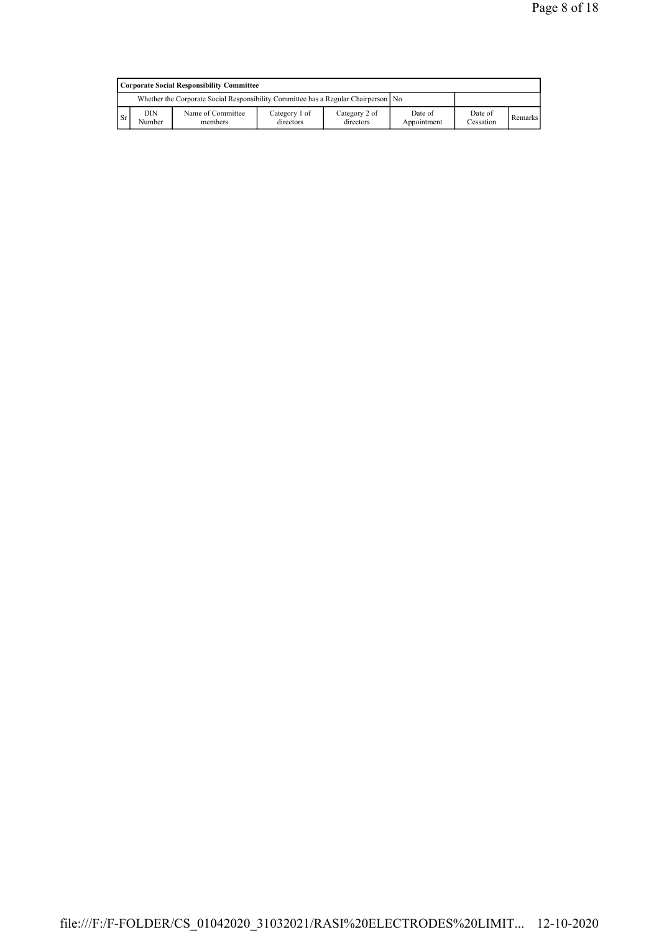|           | Corporate Social Responsibility Committee                                            |                              |                            |                            |                        |                      |                |  |  |
|-----------|--------------------------------------------------------------------------------------|------------------------------|----------------------------|----------------------------|------------------------|----------------------|----------------|--|--|
|           | Whether the Corporate Social Responsibility Committee has a Regular Chairperson   No |                              |                            |                            |                        |                      |                |  |  |
| <b>Sr</b> | DIN<br>Number                                                                        | Name of Committee<br>members | Category 1 of<br>directors | Category 2 of<br>directors | Date of<br>Appointment | Date of<br>Cessation | <b>Remarks</b> |  |  |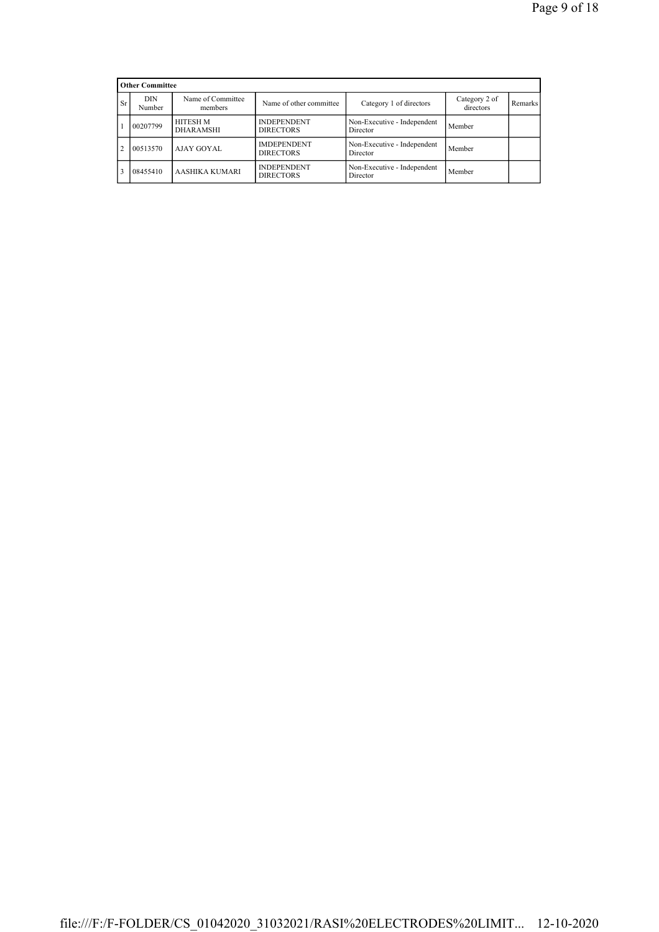|                | <b>Other Committee</b> |                              |                                        |                                         |                            |         |
|----------------|------------------------|------------------------------|----------------------------------------|-----------------------------------------|----------------------------|---------|
| <b>Sr</b>      | DIN<br>Number          | Name of Committee<br>members | Name of other committee                | Category 1 of directors                 | Category 2 of<br>directors | Remarks |
|                | 00207799               | HITESH M<br><b>DHARAMSHI</b> | <b>INDEPENDENT</b><br><b>DIRECTORS</b> | Non-Executive - Independent<br>Director | Member                     |         |
| $\overline{2}$ | 00513570               | AJAY GOYAL                   | <b>IMDEPENDENT</b><br><b>DIRECTORS</b> | Non-Executive - Independent<br>Director | Member                     |         |
| 3              | 08455410               | AASHIKA KUMARI               | <b>INDEPENDENT</b><br><b>DIRECTORS</b> | Non-Executive - Independent<br>Director | Member                     |         |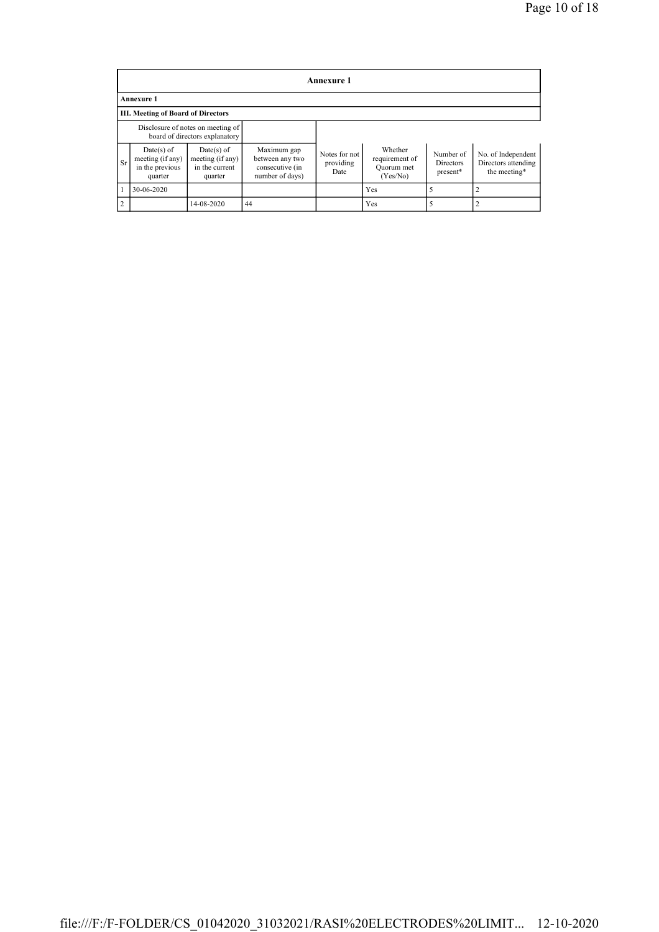|                | <b>Annexure 1</b>                                              |                                                                     |                                                                      |                                    |                                                     |                                    |                                                           |  |  |
|----------------|----------------------------------------------------------------|---------------------------------------------------------------------|----------------------------------------------------------------------|------------------------------------|-----------------------------------------------------|------------------------------------|-----------------------------------------------------------|--|--|
|                | Annexure 1                                                     |                                                                     |                                                                      |                                    |                                                     |                                    |                                                           |  |  |
|                | <b>III. Meeting of Board of Directors</b>                      |                                                                     |                                                                      |                                    |                                                     |                                    |                                                           |  |  |
|                |                                                                | Disclosure of notes on meeting of<br>board of directors explanatory |                                                                      |                                    |                                                     |                                    |                                                           |  |  |
| <b>Sr</b>      | $Date(s)$ of<br>meeting (if any)<br>in the previous<br>quarter | $Date(s)$ of<br>meeting (if any)<br>in the current<br>quarter       | Maximum gap<br>between any two<br>consecutive (in<br>number of days) | Notes for not<br>providing<br>Date | Whether<br>requirement of<br>Quorum met<br>(Yes/No) | Number of<br>Directors<br>present* | No. of Independent<br>Directors attending<br>the meeting* |  |  |
|                | 30-06-2020                                                     |                                                                     |                                                                      |                                    | Yes                                                 |                                    |                                                           |  |  |
| $\overline{2}$ |                                                                | 14-08-2020                                                          | 44                                                                   |                                    | Yes                                                 |                                    |                                                           |  |  |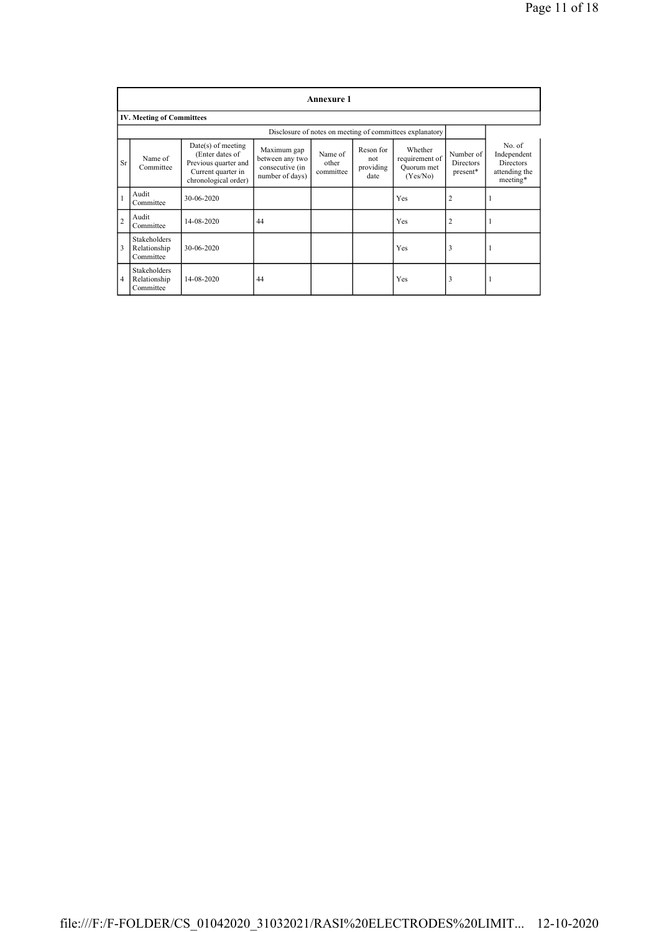|                | <b>Annexure 1</b>                                        |                                                                                                               |                                                                      |                               |                                       |                                                     |                                    |                                                                        |
|----------------|----------------------------------------------------------|---------------------------------------------------------------------------------------------------------------|----------------------------------------------------------------------|-------------------------------|---------------------------------------|-----------------------------------------------------|------------------------------------|------------------------------------------------------------------------|
|                | <b>IV. Meeting of Committees</b>                         |                                                                                                               |                                                                      |                               |                                       |                                                     |                                    |                                                                        |
|                | Disclosure of notes on meeting of committees explanatory |                                                                                                               |                                                                      |                               |                                       |                                                     |                                    |                                                                        |
| Sr             | Name of<br>Committee                                     | $Date(s)$ of meeting<br>(Enter dates of<br>Previous quarter and<br>Current quarter in<br>chronological order) | Maximum gap<br>between any two<br>consecutive (in<br>number of days) | Name of<br>other<br>committee | Reson for<br>not<br>providing<br>date | Whether<br>requirement of<br>Ouorum met<br>(Yes/No) | Number of<br>Directors<br>present* | No. of<br>Independent<br><b>Directors</b><br>attending the<br>meeting* |
| $\mathbf{1}$   | Audit<br>Committee                                       | 30-06-2020                                                                                                    |                                                                      |                               |                                       | Yes                                                 | $\overline{2}$                     | -1                                                                     |
| $\overline{c}$ | Audit<br>Committee                                       | 14-08-2020                                                                                                    | 44                                                                   |                               |                                       | Yes                                                 | $\overline{2}$                     | 1                                                                      |
| 3              | Stakeholders<br>Relationship<br>Committee                | 30-06-2020                                                                                                    |                                                                      |                               |                                       | Yes                                                 | 3                                  | 1                                                                      |
| $\overline{4}$ | Stakeholders<br>Relationship<br>Committee                | 14-08-2020                                                                                                    | 44                                                                   |                               |                                       | Yes                                                 | 3                                  | 1                                                                      |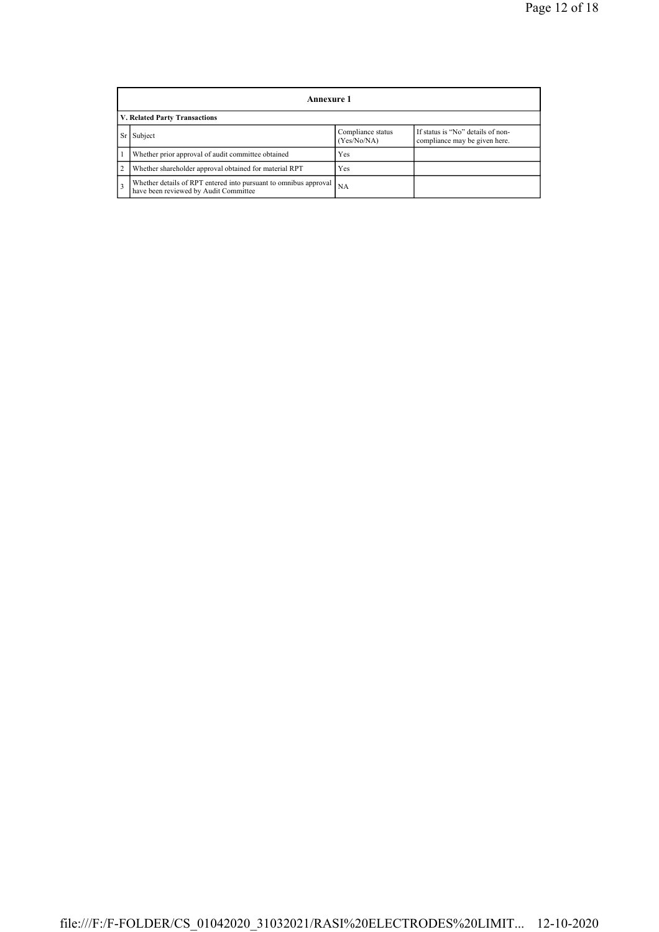|                | Annexure 1                                                                                                        |           |  |  |  |  |  |  |
|----------------|-------------------------------------------------------------------------------------------------------------------|-----------|--|--|--|--|--|--|
|                | V. Related Party Transactions                                                                                     |           |  |  |  |  |  |  |
|                | If status is "No" details of non-<br>Compliance status<br>Subject<br>(Yes/No/NA)<br>compliance may be given here. |           |  |  |  |  |  |  |
|                | Whether prior approval of audit committee obtained                                                                | Yes       |  |  |  |  |  |  |
| $\overline{2}$ | Whether shareholder approval obtained for material RPT                                                            | Yes       |  |  |  |  |  |  |
| 3              | Whether details of RPT entered into pursuant to omnibus approval<br>have been reviewed by Audit Committee         | <b>NA</b> |  |  |  |  |  |  |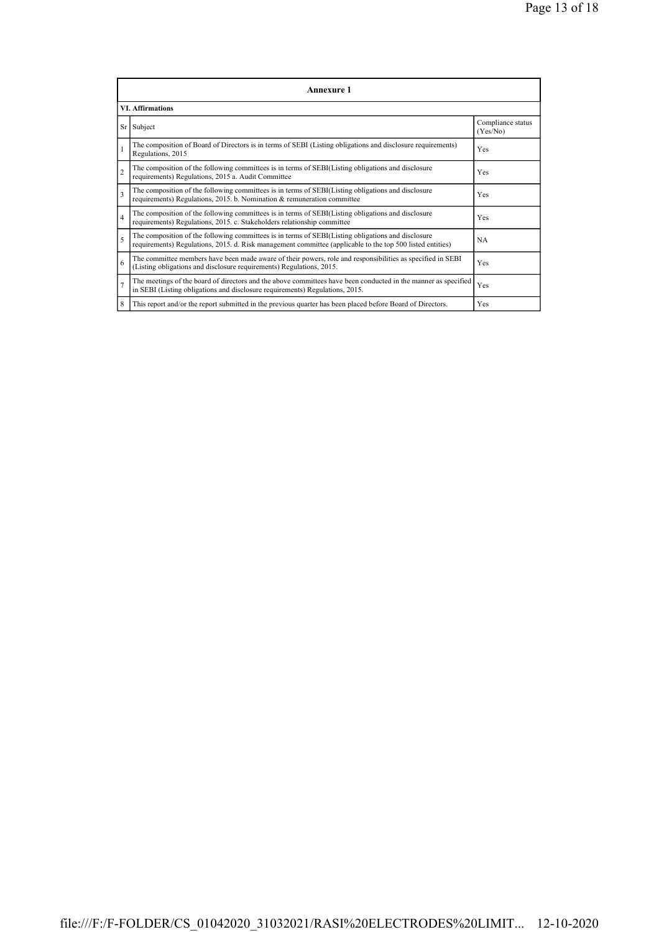|                | <b>Annexure 1</b>                                                                                                                                                                                               |                               |  |  |  |
|----------------|-----------------------------------------------------------------------------------------------------------------------------------------------------------------------------------------------------------------|-------------------------------|--|--|--|
|                | <b>VI.</b> Affirmations                                                                                                                                                                                         |                               |  |  |  |
|                | Sr Subject                                                                                                                                                                                                      | Compliance status<br>(Yes/No) |  |  |  |
| $\mathbf{1}$   | The composition of Board of Directors is in terms of SEBI (Listing obligations and disclosure requirements)<br>Regulations, 2015                                                                                | Yes                           |  |  |  |
| $\overline{c}$ | The composition of the following committees is in terms of SEBI(Listing obligations and disclosure<br>requirements) Regulations, 2015 a. Audit Committee                                                        | Yes                           |  |  |  |
| 3              | The composition of the following committees is in terms of SEBI(Listing obligations and disclosure<br>requirements) Regulations, 2015. b. Nomination & remuneration committee                                   | Yes                           |  |  |  |
| $\overline{4}$ | The composition of the following committees is in terms of SEBI(Listing obligations and disclosure<br>requirements) Regulations, 2015. c. Stakeholders relationship committee                                   | Yes                           |  |  |  |
| 5              | The composition of the following committees is in terms of SEBI(Listing obligations and disclosure<br>requirements) Regulations, 2015. d. Risk management committee (applicable to the top 500 listed entities) | <b>NA</b>                     |  |  |  |
| 6              | The committee members have been made aware of their powers, role and responsibilities as specified in SEBI<br>(Listing obligations and disclosure requirements) Regulations, 2015.                              | Yes                           |  |  |  |
| $\overline{7}$ | The meetings of the board of directors and the above committees have been conducted in the manner as specified<br>in SEBI (Listing obligations and disclosure requirements) Regulations, 2015.                  | Yes                           |  |  |  |
| 8              | This report and/or the report submitted in the previous quarter has been placed before Board of Directors.                                                                                                      | Yes                           |  |  |  |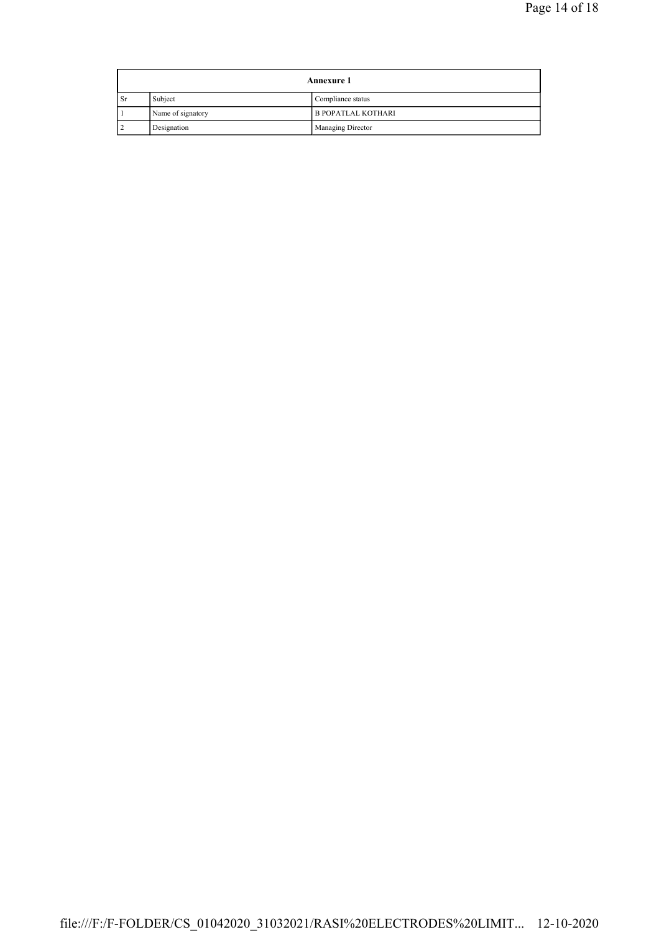| <b>Annexure 1</b> |                   |                           |  |
|-------------------|-------------------|---------------------------|--|
| <b>Sr</b>         | Subject           | Compliance status         |  |
|                   | Name of signatory | <b>B POPATLAL KOTHARI</b> |  |
|                   | Designation       | Managing Director         |  |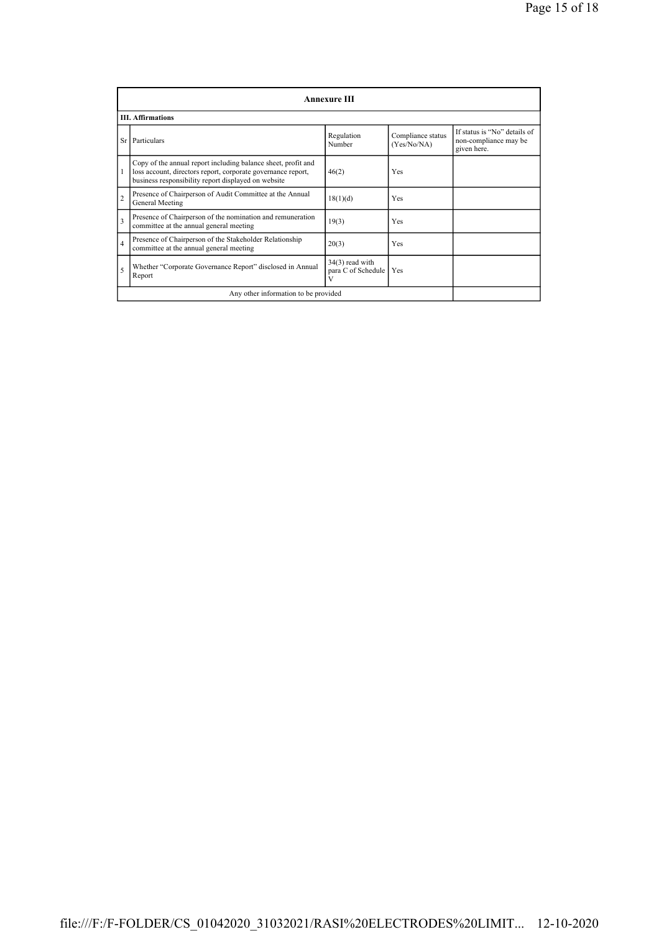|                         | <b>Annexure III</b>                                                                                                                                                                  |                                              |                                  |                                                                      |  |  |  |
|-------------------------|--------------------------------------------------------------------------------------------------------------------------------------------------------------------------------------|----------------------------------------------|----------------------------------|----------------------------------------------------------------------|--|--|--|
|                         | <b>III. Affirmations</b>                                                                                                                                                             |                                              |                                  |                                                                      |  |  |  |
| Sr                      | Particulars                                                                                                                                                                          | Regulation<br>Number                         | Compliance status<br>(Yes/No/NA) | If status is "No" details of<br>non-compliance may be<br>given here. |  |  |  |
| 1                       | Copy of the annual report including balance sheet, profit and<br>loss account, directors report, corporate governance report,<br>business responsibility report displayed on website | 46(2)                                        | Yes                              |                                                                      |  |  |  |
| $\overline{c}$          | Presence of Chairperson of Audit Committee at the Annual<br>General Meeting                                                                                                          | 18(1)(d)                                     | Yes                              |                                                                      |  |  |  |
| $\overline{\mathbf{3}}$ | Presence of Chairperson of the nomination and remuneration<br>committee at the annual general meeting                                                                                | 19(3)                                        | Yes                              |                                                                      |  |  |  |
| $\overline{4}$          | Presence of Chairperson of the Stakeholder Relationship<br>committee at the annual general meeting                                                                                   | 20(3)                                        | Yes                              |                                                                      |  |  |  |
| 5                       | Whether "Corporate Governance Report" disclosed in Annual<br>Report                                                                                                                  | $34(3)$ read with<br>para C of Schedule<br>V | Yes                              |                                                                      |  |  |  |
|                         | Any other information to be provided                                                                                                                                                 |                                              |                                  |                                                                      |  |  |  |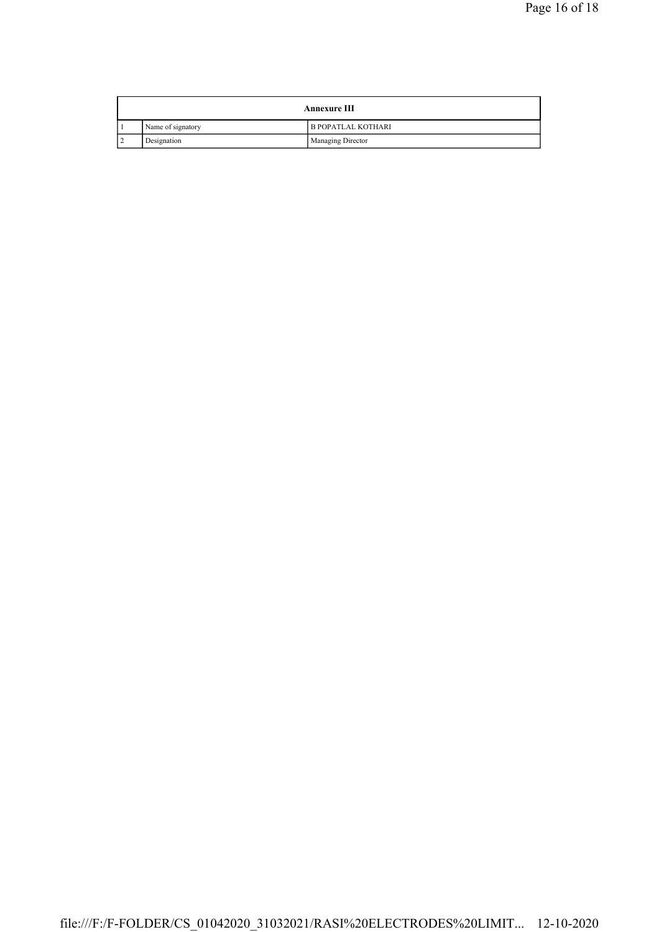| <b>Annexure III</b> |                           |
|---------------------|---------------------------|
| Name of signatory   | <b>B POPATLAL KOTHARI</b> |
| Designation         | Managing Director         |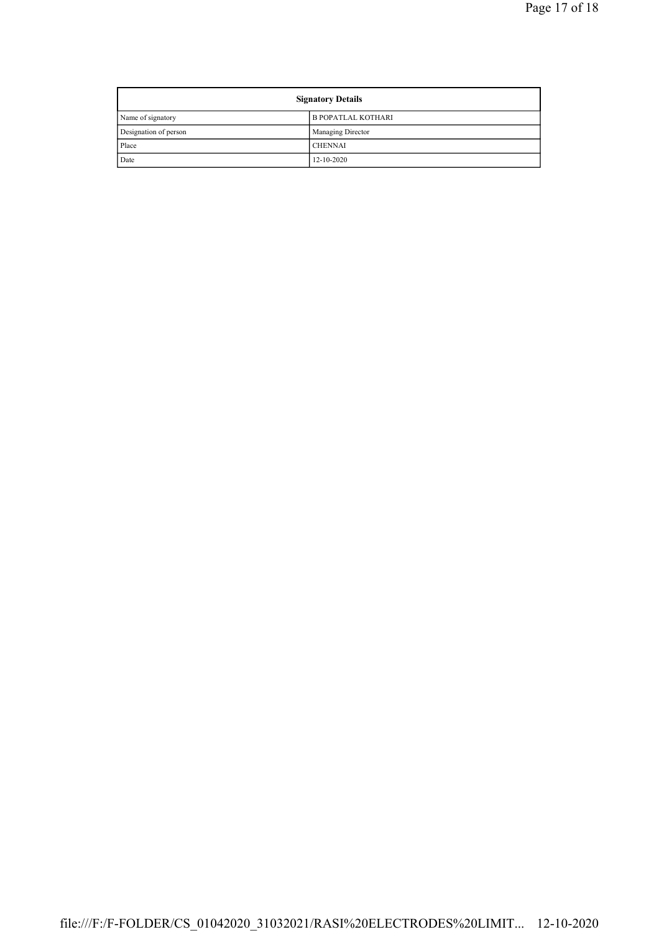| <b>Signatory Details</b> |                           |
|--------------------------|---------------------------|
| Name of signatory        | <b>B POPATLAL KOTHARI</b> |
| Designation of person    | Managing Director         |
| Place                    | <b>CHENNAI</b>            |
| Date                     | $12 - 10 - 2020$          |